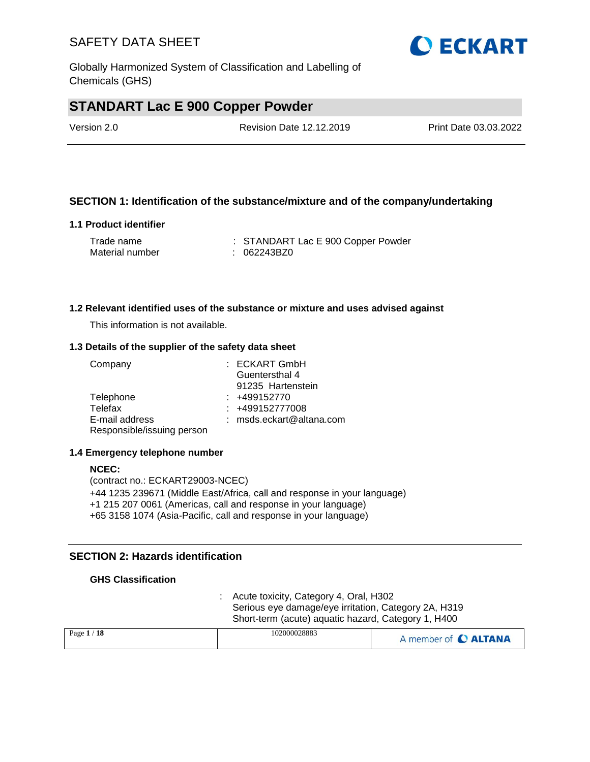Globally Harmonized System of Classification and Labelling of Chemicals (GHS)

## **STANDART Lac E 900 Copper Powder**

| Version 2.0 | <b>Revision Date 12.12.2019</b> | Print Date 03.03.2022 |
|-------------|---------------------------------|-----------------------|
|             |                                 |                       |

#### **SECTION 1: Identification of the substance/mixture and of the company/undertaking**

#### **1.1 Product identifier**

| Trade name      | : STANDART Lac E 900 Copper Powder |
|-----------------|------------------------------------|
| Material number | : 062243BZ0                        |

#### **1.2 Relevant identified uses of the substance or mixture and uses advised against**

This information is not available.

#### **1.3 Details of the supplier of the safety data sheet**

| Company                    | : ECKART GmbH              |
|----------------------------|----------------------------|
|                            | Guentersthal 4             |
|                            | 91235 Hartenstein          |
| Telephone                  | $: +499152770$             |
| Telefax                    | $: +499152777008$          |
| E-mail address             | $:$ msds.eckart@altana.com |
| Responsible/issuing person |                            |

#### **1.4 Emergency telephone number**

#### **NCEC:** (contract no.: ECKART29003-NCEC) +44 1235 239671 (Middle East/Africa, call and response in your language) +1 215 207 0061 (Americas, call and response in your language) +65 3158 1074 (Asia-Pacific, call and response in your language)

#### **SECTION 2: Hazards identification**

#### **GHS Classification**

: Acute toxicity, Category 4, Oral, H302 Serious eye damage/eye irritation, Category 2A, H319 Short-term (acute) aquatic hazard, Category 1, H400

| Page $1/18$ | 102000028883 | A member of C ALTANA |
|-------------|--------------|----------------------|
|             |              |                      |

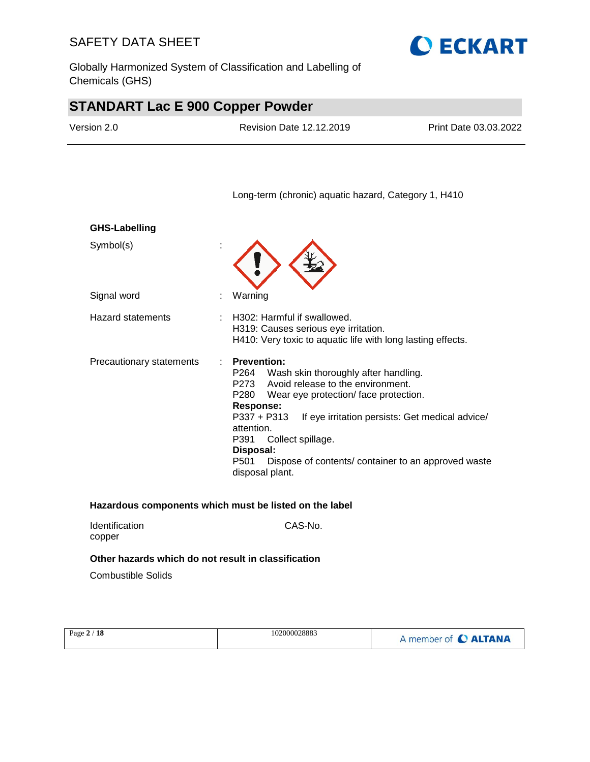Globally Harmonized System of Classification and Labelling of Chemicals (GHS)



# **STANDART Lac E 900 Copper Powder**

| Version 2.0              | <b>Revision Date 12.12.2019</b>                                                                                                                                              | Print Date 03.03.2022                                                                                                                                                                                                      |
|--------------------------|------------------------------------------------------------------------------------------------------------------------------------------------------------------------------|----------------------------------------------------------------------------------------------------------------------------------------------------------------------------------------------------------------------------|
|                          |                                                                                                                                                                              | Long-term (chronic) aquatic hazard, Category 1, H410                                                                                                                                                                       |
| <b>GHS-Labelling</b>     |                                                                                                                                                                              |                                                                                                                                                                                                                            |
| Symbol(s)                |                                                                                                                                                                              |                                                                                                                                                                                                                            |
| Signal word              | Warning                                                                                                                                                                      |                                                                                                                                                                                                                            |
| <b>Hazard statements</b> | H302: Harmful if swallowed.<br>H319: Causes serious eye irritation.                                                                                                          | H410: Very toxic to aquatic life with long lasting effects.                                                                                                                                                                |
| Precautionary statements | <b>Prevention:</b><br>P264<br>P273<br>P280<br><b>Response:</b><br>P337 + P313<br>attention.<br>P391<br>Collect spillage.<br>Disposal:<br>P <sub>501</sub><br>disposal plant. | Wash skin thoroughly after handling.<br>Avoid release to the environment.<br>Wear eye protection/face protection.<br>If eye irritation persists: Get medical advice/<br>Dispose of contents/container to an approved waste |

| <b>Identification</b> | CAS-No. |
|-----------------------|---------|
| copper                |         |
|                       |         |

### **Other hazards which do not result in classification**

Combustible Solids

| Page 2 / 18 | 102000028883 | A member of C ALTANA |
|-------------|--------------|----------------------|
|             |              |                      |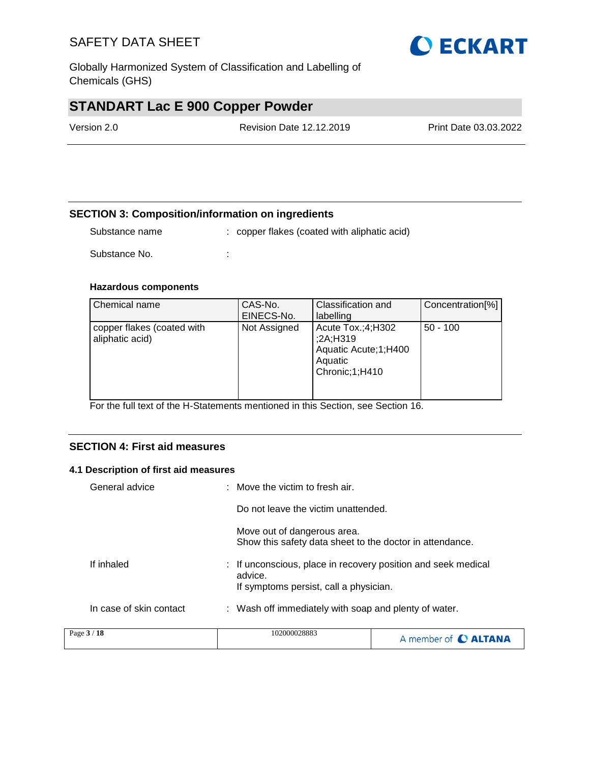Globally Harmonized System of Classification and Labelling of Chemicals (GHS)

# **STANDART Lac E 900 Copper Powder**

| Version 2.0 | <b>Revision Date 12.12.2019</b> | Print Date 03.03.2022 |
|-------------|---------------------------------|-----------------------|
|             |                                 |                       |

#### **SECTION 3: Composition/information on ingredients**

Substance name : copper flakes (coated with aliphatic acid)

Substance No. **:** :

#### **Hazardous components**

| Chemical name                                 | CAS-No.<br>EINECS-No. | Classification and<br>labelling                                                      | Concentration[%] |
|-----------------------------------------------|-----------------------|--------------------------------------------------------------------------------------|------------------|
| copper flakes (coated with<br>aliphatic acid) | Not Assigned          | Acute Tox.;4;H302<br>;2A;H319<br>Aquatic Acute; 1; H400<br>Aquatic<br>Chronic;1;H410 | $50 - 100$       |

For the full text of the H-Statements mentioned in this Section, see Section 16.

#### **SECTION 4: First aid measures**

#### **4.1 Description of first aid measures**

| Page 3 / 18             | 102000028883                                                                                                       |  |
|-------------------------|--------------------------------------------------------------------------------------------------------------------|--|
| In case of skin contact | : Wash off immediately with soap and plenty of water.                                                              |  |
| If inhaled              | : If unconscious, place in recovery position and seek medical<br>advice.<br>If symptoms persist, call a physician. |  |
|                         | Move out of dangerous area.<br>Show this safety data sheet to the doctor in attendance.                            |  |
|                         | Do not leave the victim unattended.                                                                                |  |
| General advice          | : Move the victim to fresh air.                                                                                    |  |

| Page $3/18$ | 102000028883 | A member of C ALTANA |
|-------------|--------------|----------------------|
|-------------|--------------|----------------------|

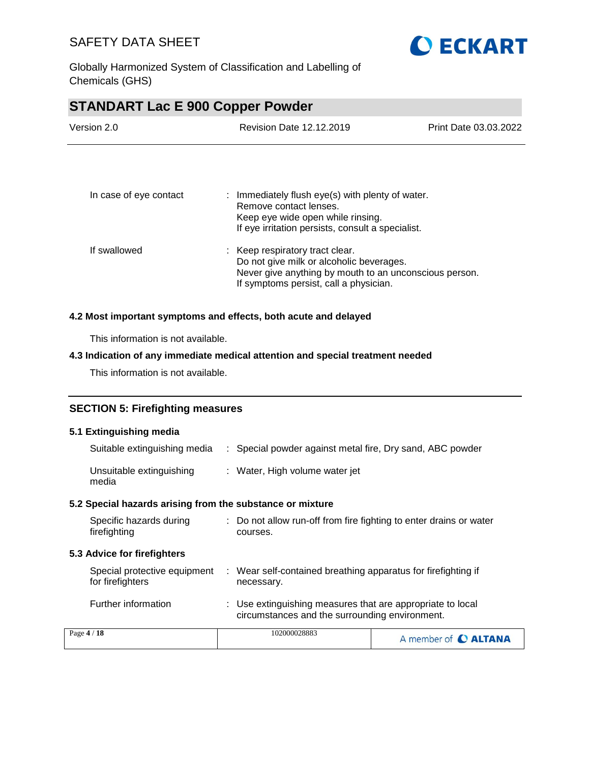

Globally Harmonized System of Classification and Labelling of Chemicals (GHS)

# **STANDART Lac E 900 Copper Powder** Version 2.0 Revision Date 12.12.2019 Print Date 03.03.2022 In case of eye contact : Immediately flush eye(s) with plenty of water. Remove contact lenses. Keep eye wide open while rinsing. If eye irritation persists, consult a specialist. If swallowed : Keep respiratory tract clear. Do not give milk or alcoholic beverages. Never give anything by mouth to an unconscious person. If symptoms persist, call a physician. **4.2 Most important symptoms and effects, both acute and delayed** This information is not available. **4.3 Indication of any immediate medical attention and special treatment needed** This information is not available.

### **SECTION 5: Firefighting measures**

#### **5.1 Extinguishing media**

| Suitable extinguishing media                              | : Special powder against metal fire, Dry sand, ABC powder                                                    |
|-----------------------------------------------------------|--------------------------------------------------------------------------------------------------------------|
| Unsuitable extinguishing<br>media                         | : Water, High volume water jet                                                                               |
| 5.2 Special hazards arising from the substance or mixture |                                                                                                              |
| Specific hazards during<br>firefighting                   | : Do not allow run-off from fire fighting to enter drains or water<br>courses.                               |
| <b>5.3 Advice for firefighters</b>                        |                                                                                                              |
| Special protective equipment<br>for firefighters          | : Wear self-contained breathing apparatus for firefighting if<br>necessary.                                  |
| Further information                                       | : Use extinguishing measures that are appropriate to local<br>circumstances and the surrounding environment. |
| $P30P \mathbf{4}$ / 18                                    | 102000028883                                                                                                 |

| -18<br>Page $4/$ | 102000028883 | A member of C ALTANA |
|------------------|--------------|----------------------|
|------------------|--------------|----------------------|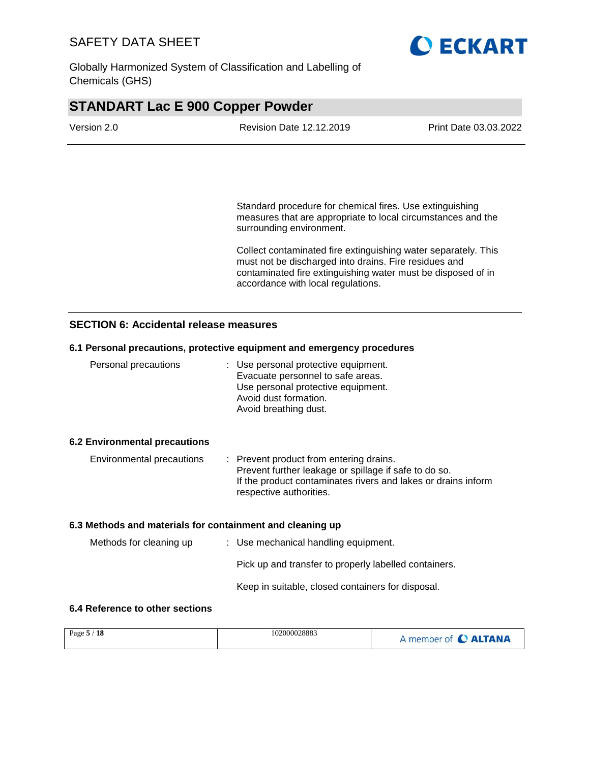

Globally Harmonized System of Classification and Labelling of Chemicals (GHS)

# **STANDART Lac E 900 Copper Powder**

| Version 2.0 | <b>Revision Date 12.12.2019</b> | Print Date 03.03.2022 |
|-------------|---------------------------------|-----------------------|
|             |                                 |                       |

Standard procedure for chemical fires. Use extinguishing measures that are appropriate to local circumstances and the surrounding environment.

Collect contaminated fire extinguishing water separately. This must not be discharged into drains. Fire residues and contaminated fire extinguishing water must be disposed of in accordance with local regulations.

#### **SECTION 6: Accidental release measures**

#### **6.1 Personal precautions, protective equipment and emergency procedures**

| Personal precautions                 | : Use personal protective equipment.<br>Evacuate personnel to safe areas.<br>Use personal protective equipment.<br>Avoid dust formation.<br>Avoid breathing dust. |
|--------------------------------------|-------------------------------------------------------------------------------------------------------------------------------------------------------------------|
| <b>6.2 Environmental precautions</b> |                                                                                                                                                                   |

| Environmental precautions | : Prevent product from entering drains.                       |
|---------------------------|---------------------------------------------------------------|
|                           | Prevent further leakage or spillage if safe to do so.         |
|                           | If the product contaminates rivers and lakes or drains inform |
|                           | respective authorities.                                       |

#### **6.3 Methods and materials for containment and cleaning up**

| Methods for cleaning up | : Use mechanical handling equipment. |                                                       |
|-------------------------|--------------------------------------|-------------------------------------------------------|
|                         |                                      | Pick up and transfer to properly labelled containers. |
|                         |                                      | Keep in suitable, closed containers for disposal.     |

#### **6.4 Reference to other sections**

| Page 5 / 18 | 102000028883 | A member of C ALTANA |
|-------------|--------------|----------------------|
|             |              |                      |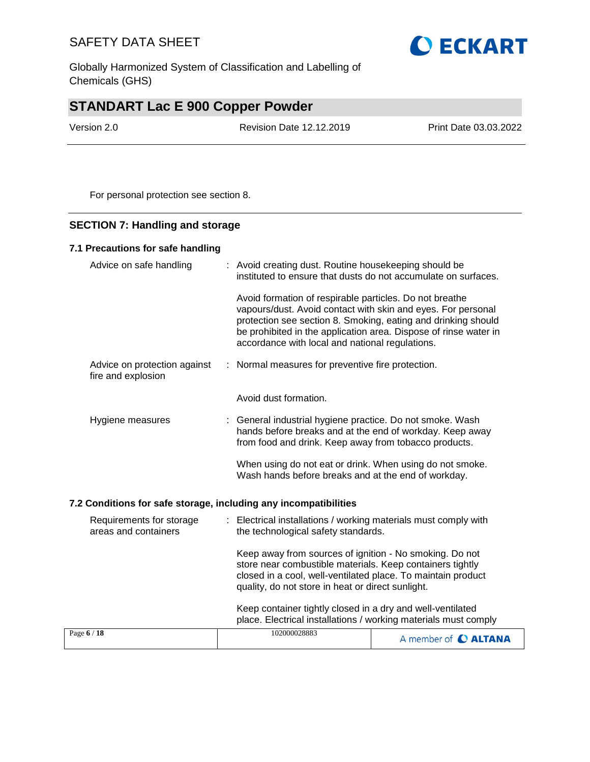Globally Harmonized System of Classification and Labelling of Chemicals (GHS)

# **STANDART Lac E 900 Copper Powder**

Version 2.0 Revision Date 12.12.2019 Print Date 03.03.2022

For personal protection see section 8.

#### **SECTION 7: Handling and storage**

#### **7.1 Precautions for safe handling**

| Advice on safe handling                            | : Avoid creating dust. Routine housekeeping should be<br>instituted to ensure that dusts do not accumulate on surfaces.                                                                                                                                                                                         |
|----------------------------------------------------|-----------------------------------------------------------------------------------------------------------------------------------------------------------------------------------------------------------------------------------------------------------------------------------------------------------------|
|                                                    | Avoid formation of respirable particles. Do not breathe<br>vapours/dust. Avoid contact with skin and eyes. For personal<br>protection see section 8. Smoking, eating and drinking should<br>be prohibited in the application area. Dispose of rinse water in<br>accordance with local and national regulations. |
| Advice on protection against<br>fire and explosion | : Normal measures for preventive fire protection.                                                                                                                                                                                                                                                               |
|                                                    | Avoid dust formation.                                                                                                                                                                                                                                                                                           |
| Hygiene measures                                   | : General industrial hygiene practice. Do not smoke. Wash<br>hands before breaks and at the end of workday. Keep away<br>from food and drink. Keep away from tobacco products.                                                                                                                                  |
|                                                    | When using do not eat or drink. When using do not smoke.<br>Wash hands before breaks and at the end of workday.                                                                                                                                                                                                 |

#### **7.2 Conditions for safe storage, including any incompatibilities**

| Requirements for storage<br>areas and containers | : Electrical installations / working materials must comply with<br>the technological safety standards.                                                                                                                                    |  |
|--------------------------------------------------|-------------------------------------------------------------------------------------------------------------------------------------------------------------------------------------------------------------------------------------------|--|
|                                                  | Keep away from sources of ignition - No smoking. Do not<br>store near combustible materials. Keep containers tightly<br>closed in a cool, well-ventilated place. To maintain product<br>quality, do not store in heat or direct sunlight. |  |
|                                                  | Keep container tightly closed in a dry and well-ventilated<br>place. Electrical installations / working materials must comply                                                                                                             |  |
| Page 6 / 18                                      | 102000028883<br>A member of C ALTANA                                                                                                                                                                                                      |  |

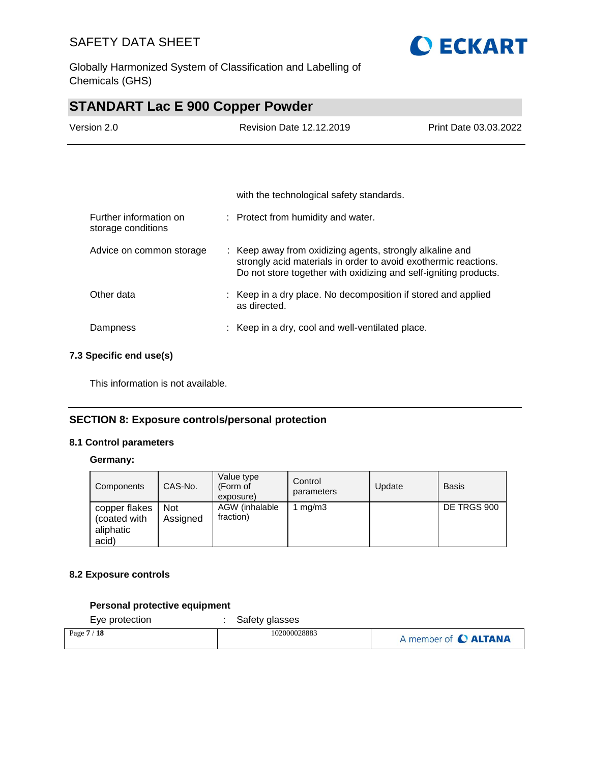

Globally Harmonized System of Classification and Labelling of Chemicals (GHS)

# **STANDART Lac E 900 Copper Powder**

| Version 2.0                                  | <b>Revision Date 12.12.2019</b>                                                                                                                                                                 | Print Date 03.03.2022 |
|----------------------------------------------|-------------------------------------------------------------------------------------------------------------------------------------------------------------------------------------------------|-----------------------|
|                                              |                                                                                                                                                                                                 |                       |
|                                              | with the technological safety standards.                                                                                                                                                        |                       |
| Further information on<br>storage conditions | : Protect from humidity and water.                                                                                                                                                              |                       |
| Advice on common storage                     | : Keep away from oxidizing agents, strongly alkaline and<br>strongly acid materials in order to avoid exothermic reactions.<br>Do not store together with oxidizing and self-igniting products. |                       |
| Other data                                   | : Keep in a dry place. No decomposition if stored and applied<br>as directed.                                                                                                                   |                       |
| Dampness                                     | : Keep in a dry, cool and well-ventilated place.                                                                                                                                                |                       |

#### **7.3 Specific end use(s)**

This information is not available.

#### **SECTION 8: Exposure controls/personal protection**

#### **8.1 Control parameters**

#### **Germany:**

| Components                                          | CAS-No.                | Value type<br>(Form of<br>exposure) | Control<br>parameters | Update | <b>Basis</b> |
|-----------------------------------------------------|------------------------|-------------------------------------|-----------------------|--------|--------------|
| copper flakes<br>(coated with<br>aliphatic<br>acid) | <b>Not</b><br>Assigned | AGW (inhalable<br>fraction)         | mq/m3                 |        | DE TRGS 900  |

#### **8.2 Exposure controls**

#### **Personal protective equipment**

Eye protection : Safety glasses

| Page $7/18$ | 102000028883 | A member of C ALTANA |
|-------------|--------------|----------------------|
|-------------|--------------|----------------------|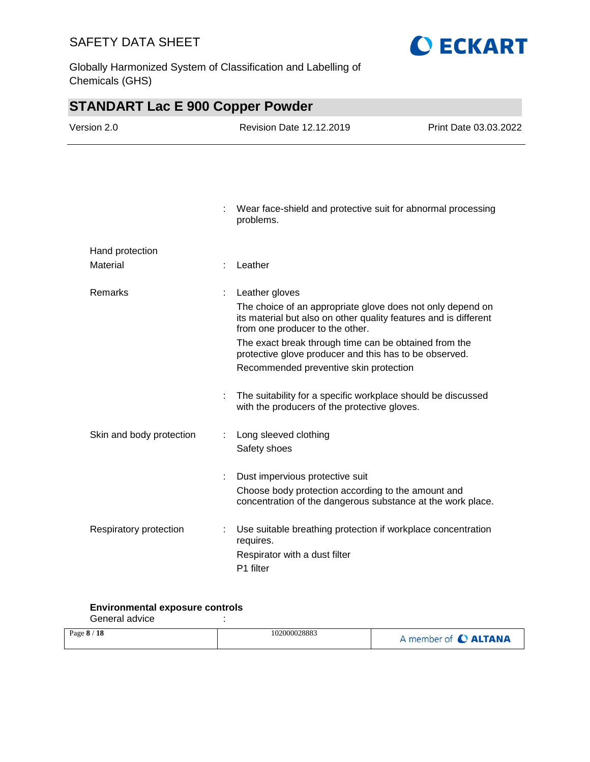Globally Harmonized System of Classification and Labelling of Chemicals (GHS)



**O ECKART** 

#### **Environmental exposure controls**

General advice in the set of the set of the set of the set of the set of the set of the set of the set of the s

| Page $8/18$ | 102000028883 | A member of C ALTANA |
|-------------|--------------|----------------------|
|             |              |                      |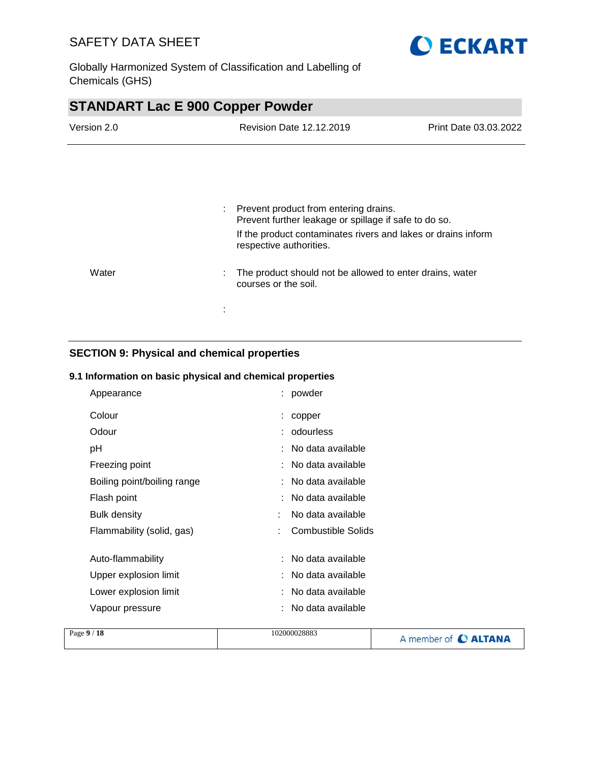

Globally Harmonized System of Classification and Labelling of Chemicals (GHS)

| <b>STANDART Lac E 900 Copper Powder</b> |                                                                                                |                       |  |
|-----------------------------------------|------------------------------------------------------------------------------------------------|-----------------------|--|
| Version 2.0                             | <b>Revision Date 12.12.2019</b>                                                                | Print Date 03.03.2022 |  |
|                                         |                                                                                                |                       |  |
|                                         |                                                                                                |                       |  |
|                                         | Prevent product from entering drains.<br>Prevent further leakage or spillage if safe to do so. |                       |  |
|                                         | If the product contaminates rivers and lakes or drains inform<br>respective authorities.       |                       |  |
| Water                                   | The product should not be allowed to enter drains, water<br>courses or the soil.               |                       |  |
|                                         |                                                                                                |                       |  |

### **SECTION 9: Physical and chemical properties**

#### **9.1 Information on basic physical and chemical properties**

| Appearance                  |   | : powder            |
|-----------------------------|---|---------------------|
| Colour                      |   | copper              |
| Odour                       |   | odourless           |
| рH                          |   | : No data available |
| Freezing point              |   | : No data available |
| Boiling point/boiling range |   | : No data available |
| Flash point                 |   | No data available   |
| <b>Bulk density</b>         |   | No data available   |
| Flammability (solid, gas)   | ÷ | Combustible Solids  |
| Auto-flammability           |   | : No data available |
| Upper explosion limit       |   | : No data available |
| Lower explosion limit       |   | : No data available |
| Vapour pressure             |   | No data available   |

| Page 9 / 18 | 102000028883 | A member of C ALTANA |
|-------------|--------------|----------------------|
|             |              |                      |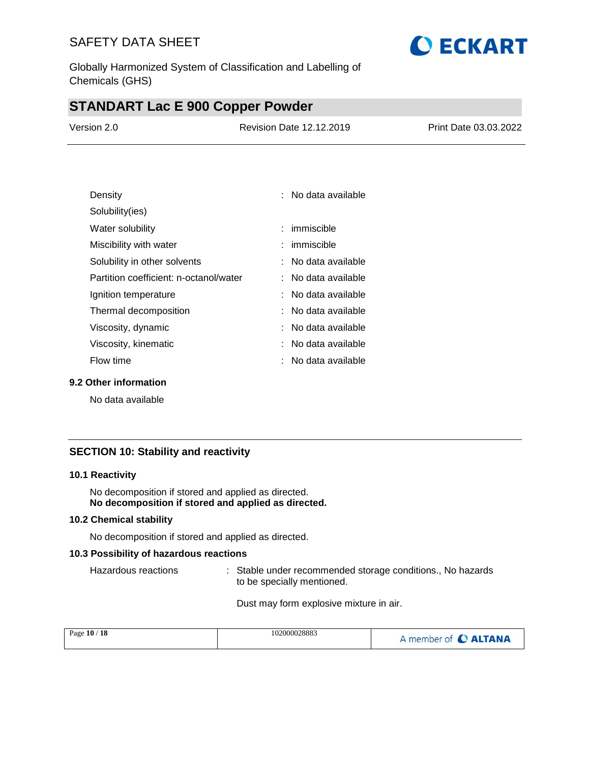Globally Harmonized System of Classification and Labelling of Chemicals (GHS)

## **STANDART Lac E 900 Copper Powder**

| Version 2.0 | <b>Revision Date 12.12.2019</b> | Print Date 03.03.2022 |
|-------------|---------------------------------|-----------------------|
|             |                                 |                       |

| Density                                | ∶ No data available |
|----------------------------------------|---------------------|
| Solubility(ies)                        |                     |
| Water solubility                       | : immiscible        |
| Miscibility with water                 | : immiscible        |
| Solubility in other solvents           | : No data available |
| Partition coefficient: n-octanol/water | ∶ No data available |
| Ignition temperature                   | ∶ No data available |
| Thermal decomposition                  | ∶ No data available |
| Viscosity, dynamic                     | ∶ No data available |
| Viscosity, kinematic                   | : No data available |
| Flow time                              | . No data available |

#### **9.2 Other information**

No data available

#### **SECTION 10: Stability and reactivity**

#### **10.1 Reactivity**

No decomposition if stored and applied as directed. **No decomposition if stored and applied as directed.**

#### **10.2 Chemical stability**

No decomposition if stored and applied as directed.

#### **10.3 Possibility of hazardous reactions**

Hazardous reactions : Stable under recommended storage conditions., No hazards to be specially mentioned.

Dust may form explosive mixture in air.

| Page 10 / 18 | 102000028883 | A member of C ALTANA |
|--------------|--------------|----------------------|
|              |              |                      |

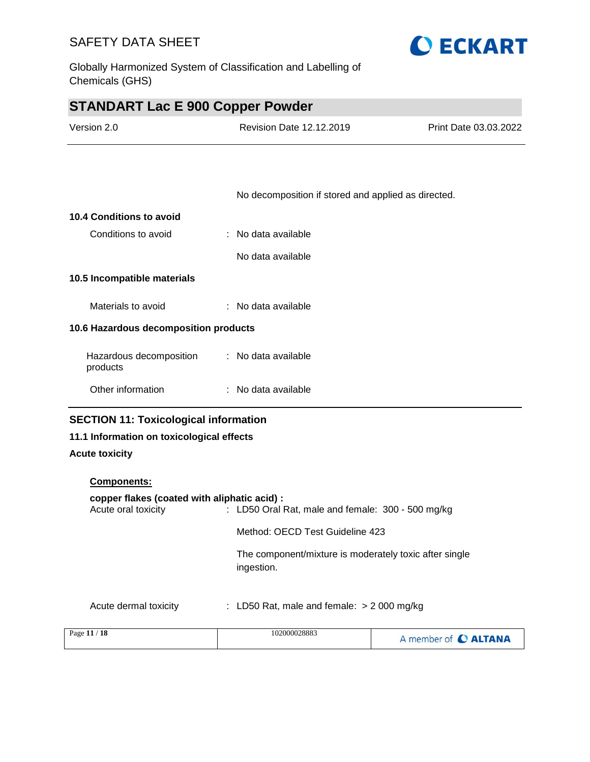Globally Harmonized System of Classification and Labelling of Chemicals (GHS)



| <b>STANDART Lac E 900 Copper Powder</b> |
|-----------------------------------------|
|-----------------------------------------|

| Version 2.0 | <b>Revision Date 12.12.2019</b> | Print Date 03.03.2022 |
|-------------|---------------------------------|-----------------------|
|             |                                 |                       |

No decomposition if stored and applied as directed.

| 10.4 Conditions to avoid              |                     |
|---------------------------------------|---------------------|
| Conditions to avoid                   | : No data available |
|                                       | No data available   |
| 10.5 Incompatible materials           |                     |
| Materials to avoid                    | : No data available |
| 10.6 Hazardous decomposition products |                     |
| Hazardous decomposition<br>products   | : No data available |
| Other information                     | : No data available |

#### **SECTION 11: Toxicological information**

#### **11.1 Information on toxicological effects**

#### **Acute toxicity**

# **Components: copper flakes (coated with aliphatic acid) :** Acute oral toxicity : LD50 Oral Rat, male and female: 300 - 500 mg/kg Method: OECD Test Guideline 423 The component/mixture is moderately toxic after single ingestion. Acute dermal toxicity : LD50 Rat, male and female: > 2 000 mg/kg Page **11** / **18** 102000028883 A member of C ALTANA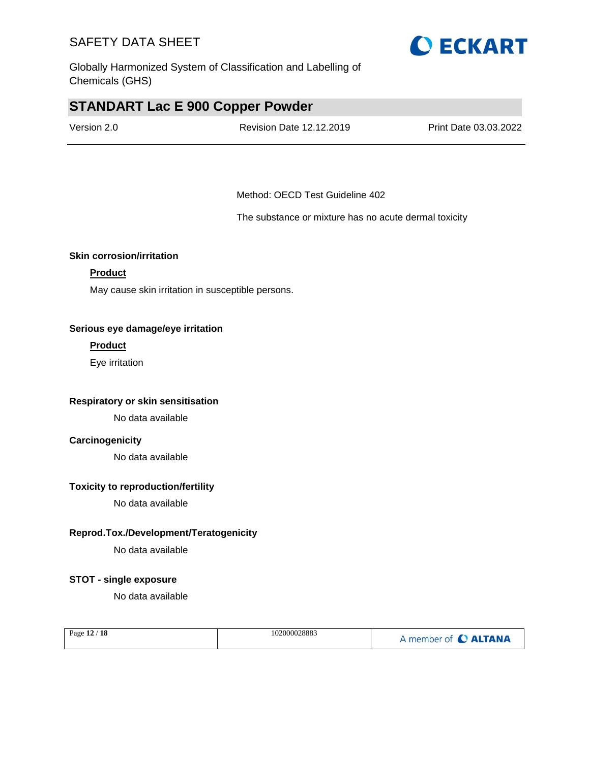Globally Harmonized System of Classification and Labelling of Chemicals (GHS)

### **STANDART Lac E 900 Copper Powder**

| Version 2.0 | <b>Revision Date 12.12.2019</b> | Print Date 03.03.2022 |
|-------------|---------------------------------|-----------------------|
|             |                                 |                       |

Method: OECD Test Guideline 402

The substance or mixture has no acute dermal toxicity

#### **Skin corrosion/irritation**

#### **Product**

May cause skin irritation in susceptible persons.

#### **Serious eye damage/eye irritation**

#### **Product**

Eye irritation

#### **Respiratory or skin sensitisation**

No data available

#### **Carcinogenicity**

No data available

#### **Toxicity to reproduction/fertility**

No data available

#### **Reprod.Tox./Development/Teratogenicity**

No data available

#### **STOT - single exposure**

No data available

| Page 12 / 18 | 102000028883 | A member of C ALTANA |
|--------------|--------------|----------------------|
|              |              |                      |

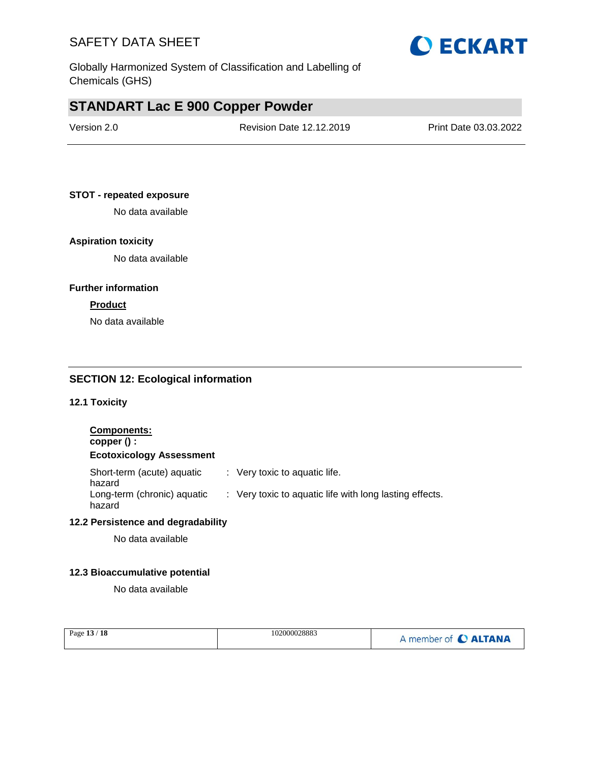Globally Harmonized System of Classification and Labelling of Chemicals (GHS)

### **STANDART Lac E 900 Copper Powder**

| Version 2.0 | Revision Date 12.12.2019 | Print Date 03.03.2022 |
|-------------|--------------------------|-----------------------|
|             |                          |                       |

#### **STOT - repeated exposure**

No data available

#### **Aspiration toxicity**

No data available

#### **Further information**

#### **Product**

No data available

#### **SECTION 12: Ecological information**

**12.1 Toxicity**

#### **Components: copper () : Ecotoxicology Assessment** Short-term (acute) aquatic hazard : Very toxic to aquatic life. Long-term (chronic) aquatic hazard : Very toxic to aquatic life with long lasting effects.

#### **12.2 Persistence and degradability**

No data available

#### **12.3 Bioaccumulative potential**

No data available

| Page 13 / 18 | 102000028883 | A member of C ALTANA |
|--------------|--------------|----------------------|
|              |              |                      |

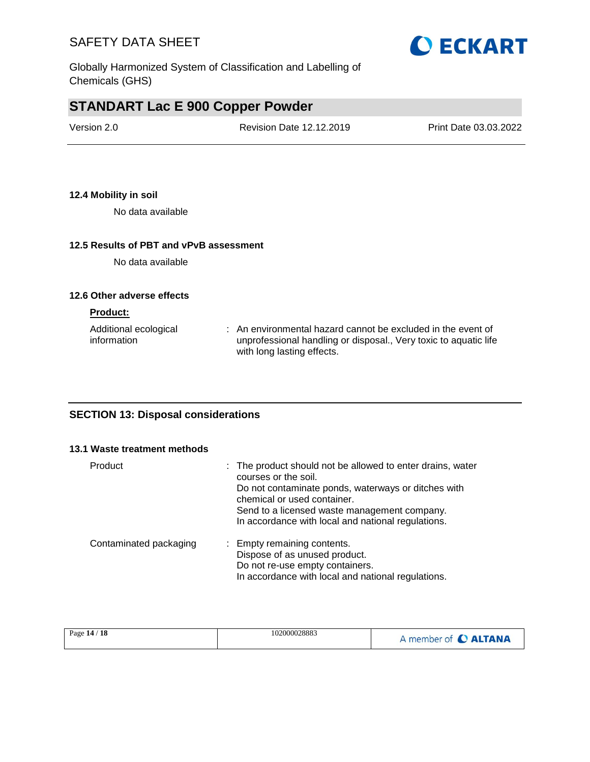

# **STANDART Lac E 900 Copper Powder**

| Version 2.0 | Revision Date 12.12.2019 | Print Date 03.03.2022 |
|-------------|--------------------------|-----------------------|
|             |                          |                       |

#### **12.4 Mobility in soil**

No data available

#### **12.5 Results of PBT and vPvB assessment**

No data available

#### **12.6 Other adverse effects**

#### **Product:**

| Additional ecological | : An environmental hazard cannot be excluded in the event of     |
|-----------------------|------------------------------------------------------------------|
| information           | unprofessional handling or disposal., Very toxic to aquatic life |
|                       | with long lasting effects.                                       |

#### **SECTION 13: Disposal considerations**

#### **13.1 Waste treatment methods**

| Product                | : The product should not be allowed to enter drains, water<br>courses or the soil.<br>Do not contaminate ponds, waterways or ditches with<br>chemical or used container.<br>Send to a licensed waste management company.<br>In accordance with local and national regulations. |
|------------------------|--------------------------------------------------------------------------------------------------------------------------------------------------------------------------------------------------------------------------------------------------------------------------------|
| Contaminated packaging | : Empty remaining contents.<br>Dispose of as unused product.<br>Do not re-use empty containers.<br>In accordance with local and national regulations.                                                                                                                          |

| Page 14 / 18 | 102000028883 | A member of C ALTANA |
|--------------|--------------|----------------------|
|--------------|--------------|----------------------|

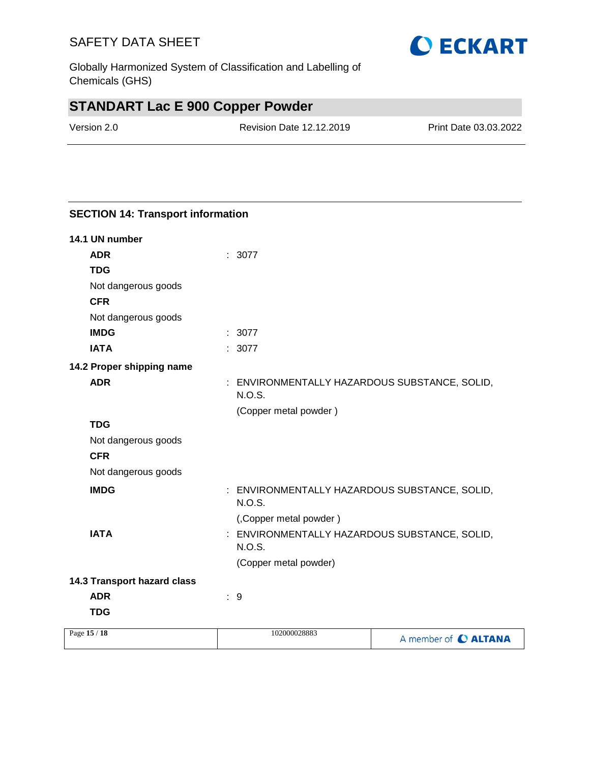Globally Harmonized System of Classification and Labelling of Chemicals (GHS)

# **STANDART Lac E 900 Copper Powder**

**SECTION 14: Transport information**

| Version 2.0 | <b>Revision Date 12.12.2019</b> | Print Date 03.03.2022 |
|-------------|---------------------------------|-----------------------|
|             |                                 |                       |

| 14.1 UN number              |                                                                   |                      |
|-----------------------------|-------------------------------------------------------------------|----------------------|
| <b>ADR</b>                  | : 3077                                                            |                      |
| <b>TDG</b>                  |                                                                   |                      |
| Not dangerous goods         |                                                                   |                      |
| <b>CFR</b>                  |                                                                   |                      |
| Not dangerous goods         |                                                                   |                      |
| <b>IMDG</b>                 | : 3077                                                            |                      |
| <b>IATA</b>                 | : 3077                                                            |                      |
| 14.2 Proper shipping name   |                                                                   |                      |
| <b>ADR</b>                  | : ENVIRONMENTALLY HAZARDOUS SUBSTANCE, SOLID,<br>N.O.S.           |                      |
|                             | (Copper metal powder)                                             |                      |
| <b>TDG</b>                  |                                                                   |                      |
| Not dangerous goods         |                                                                   |                      |
| <b>CFR</b>                  |                                                                   |                      |
| Not dangerous goods         |                                                                   |                      |
| <b>IMDG</b>                 | ENVIRONMENTALLY HAZARDOUS SUBSTANCE, SOLID,<br>÷<br><b>N.O.S.</b> |                      |
|                             | (,Copper metal powder)                                            |                      |
| <b>IATA</b>                 | ENVIRONMENTALLY HAZARDOUS SUBSTANCE, SOLID,<br>÷<br><b>N.O.S.</b> |                      |
|                             | (Copper metal powder)                                             |                      |
| 14.3 Transport hazard class |                                                                   |                      |
| <b>ADR</b>                  | :9                                                                |                      |
| <b>TDG</b>                  |                                                                   |                      |
| Page 15 / 18                | 102000028883                                                      | A member of C ALTANA |
|                             |                                                                   |                      |

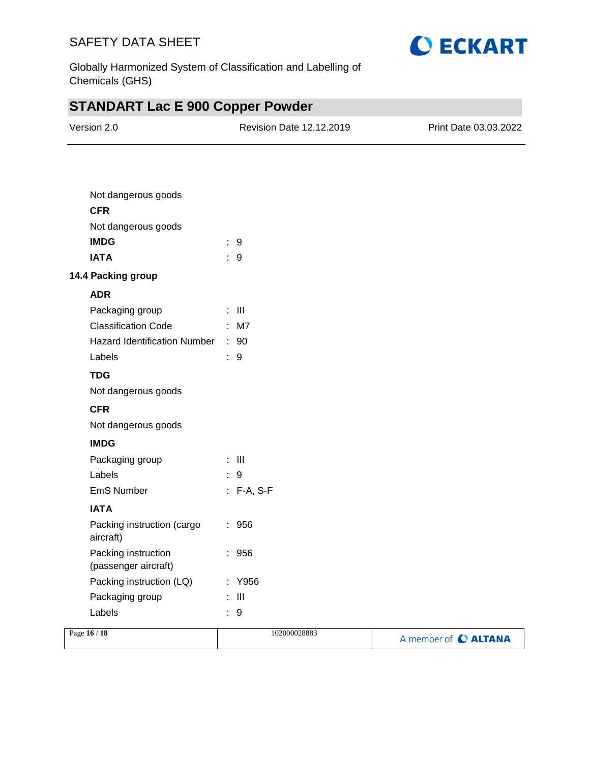

Globally Harmonized System of Classification and Labelling of Chemicals (GHS)

# **STANDART Lac E 900 Copper Powder**

| Version 2.0                                 | Revision Date 12.12.2019 | Print Date 03.03.2022 |
|---------------------------------------------|--------------------------|-----------------------|
|                                             |                          |                       |
| Not dangerous goods                         |                          |                       |
| <b>CFR</b>                                  |                          |                       |
| Not dangerous goods                         |                          |                       |
| <b>IMDG</b>                                 | : 9                      |                       |
| <b>IATA</b>                                 | : 9                      |                       |
| 14.4 Packing group                          |                          |                       |
| <b>ADR</b>                                  |                          |                       |
| Packaging group                             | $\pm$ 111                |                       |
| Classification Code : M7                    |                          |                       |
| Hazard Identification Number : 90           |                          |                       |
| Labels                                      | : 9                      |                       |
| <b>TDG</b>                                  |                          |                       |
| Not dangerous goods                         |                          |                       |
| <b>CFR</b>                                  |                          |                       |
| Not dangerous goods                         |                          |                       |
| <b>IMDG</b>                                 |                          |                       |
| Packaging group                             | $\pm$ 111                |                       |
| Labels                                      | $\therefore$ 9           |                       |
| EmS Number                                  | $: F-A, S-F$             |                       |
| <b>IATA</b>                                 |                          |                       |
| Packing instruction (cargo<br>aircraft)     | $\therefore$ 956         |                       |
| Packing instruction<br>(passenger aircraft) | 956                      |                       |
| Packing instruction (LQ)                    | : Y956                   |                       |
| Packaging group                             | $\pm$ 111                |                       |
| Labels                                      | : 9                      |                       |

| Page 16 / 18 | 102000028883 | A member of C ALTANA |
|--------------|--------------|----------------------|
|              |              |                      |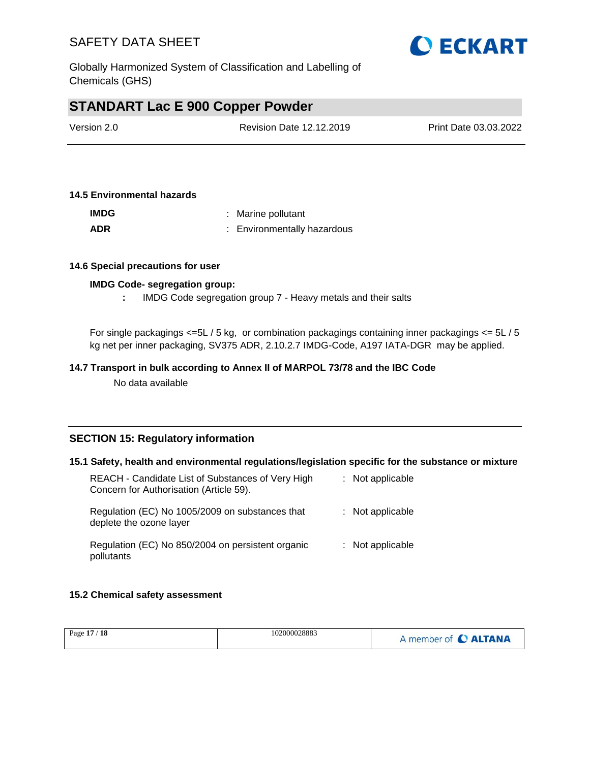

Globally Harmonized System of Classification and Labelling of Chemicals (GHS)

### **STANDART Lac E 900 Copper Powder**

| Version 2.0 | Revision Date 12.12.2019 | Print Date 03.03.2022 |
|-------------|--------------------------|-----------------------|
|             |                          |                       |

#### **14.5 Environmental hazards**

| <b>IMDG</b> | : Marine pollutant          |
|-------------|-----------------------------|
| <b>ADR</b>  | : Environmentally hazardous |

#### **14.6 Special precautions for user**

#### **IMDG Code- segregation group:**

**:** IMDG Code segregation group 7 - Heavy metals and their salts

For single packagings <=5L / 5 kg, or combination packagings containing inner packagings <= 5L / 5 kg net per inner packaging, SV375 ADR, 2.10.2.7 IMDG-Code, A197 IATA-DGR may be applied.

#### **14.7 Transport in bulk according to Annex II of MARPOL 73/78 and the IBC Code**

No data available

#### **SECTION 15: Regulatory information**

#### **15.1 Safety, health and environmental regulations/legislation specific for the substance or mixture**

| REACH - Candidate List of Substances of Very High<br>Concern for Authorisation (Article 59). | : Not applicable   |
|----------------------------------------------------------------------------------------------|--------------------|
| Regulation (EC) No 1005/2009 on substances that<br>deplete the ozone layer                   | $:$ Not applicable |
| Regulation (EC) No 850/2004 on persistent organic<br>pollutants                              | $:$ Not applicable |

#### **15.2 Chemical safety assessment**

| Page 17 / 18 | 102000028883 | A member of C ALTANA |
|--------------|--------------|----------------------|
|              |              |                      |